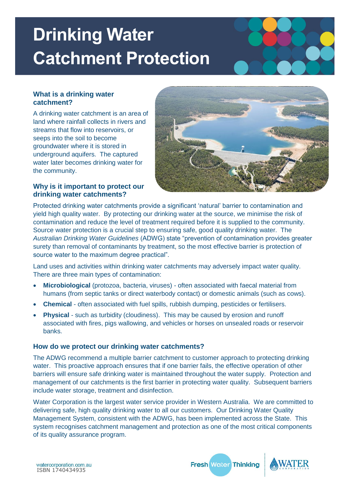# **Drinking Water Catchment Protection**

#### **What is a drinking water catchment?**

A drinking water catchment is an area of land where rainfall collects in rivers and streams that flow into reservoirs, or seeps into the soil to become groundwater where it is stored in underground aquifers. The captured water later becomes drinking water for the community.



### **Why is it important to protect our drinking water catchments?**

Protected drinking water catchments provide a significant 'natural' barrier to contamination and yield high quality water. By protecting our drinking water at the source, we minimise the risk of contamination and reduce the level of treatment required before it is supplied to the community. Source water protection is a crucial step to ensuring safe, good quality drinking water. The *Australian Drinking Water Guidelines* (ADWG) state "prevention of contamination provides greater surety than removal of contaminants by treatment, so the most effective barrier is protection of source water to the maximum degree practical".

Land uses and activities within drinking water catchments may adversely impact water quality. There are three main types of contamination:

- **Microbiological** (protozoa, bacteria, viruses) often associated with faecal material from humans (from septic tanks or direct waterbody contact) or domestic animals (such as cows).
- **Chemical** often associated with fuel spills, rubbish dumping, pesticides or fertilisers.
- **Physical** such as turbidity (cloudiness). This may be caused by erosion and runoff associated with fires, pigs wallowing, and vehicles or horses on unsealed roads or reservoir banks.

### **How do we protect our drinking water catchments?**

The ADWG recommend a multiple barrier catchment to customer approach to protecting drinking water. This proactive approach ensures that if one barrier fails, the effective operation of other barriers will ensure safe drinking water is maintained throughout the water supply. Protection and management of our catchments is the first barrier in protecting water quality. Subsequent barriers include water storage, treatment and disinfection.

Water Corporation is the largest water service provider in Western Australia. We are committed to delivering safe, high quality drinking water to all our customers. Our Drinking Water Quality Management System, consistent with the ADWG, has been implemented across the State. This system recognises catchment management and protection as one of the most critical components of its quality assurance program.

**Fresh Water Thinking**